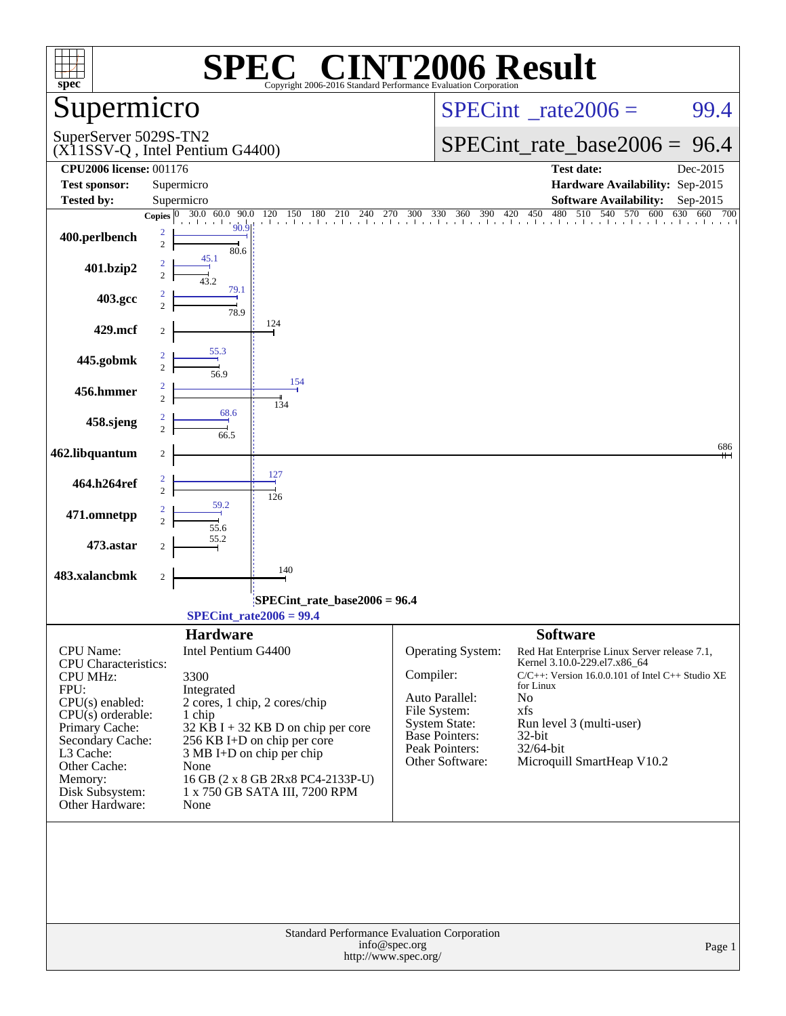| <b>INT2006 Result</b><br>$\blacksquare$<br>spec <sup>®</sup><br>Copyright 2006-2016 Standard Performance Evaluation Corporation |                                                              |                                                                                                   |  |  |  |  |  |  |
|---------------------------------------------------------------------------------------------------------------------------------|--------------------------------------------------------------|---------------------------------------------------------------------------------------------------|--|--|--|--|--|--|
| Supermicro                                                                                                                      |                                                              | $SPECint^{\circ}$ rate 2006 =<br>99.4                                                             |  |  |  |  |  |  |
| SuperServer 5029S-TN2                                                                                                           | (X11SSV-Q, Intel Pentium G4400)                              | SPECint rate base $2006 = 96.4$                                                                   |  |  |  |  |  |  |
| <b>CPU2006 license: 001176</b>                                                                                                  |                                                              | <b>Test date:</b><br>Dec-2015                                                                     |  |  |  |  |  |  |
| <b>Test sponsor:</b><br><b>Tested by:</b>                                                                                       | Supermicro<br>Supermicro                                     | Hardware Availability: Sep-2015<br><b>Software Availability:</b><br>Sep-2015                      |  |  |  |  |  |  |
|                                                                                                                                 |                                                              | 630 660 700                                                                                       |  |  |  |  |  |  |
| 400.perlbench                                                                                                                   | $\overline{\mathbf{c}}$<br>$\overline{c}$<br>80.6            |                                                                                                   |  |  |  |  |  |  |
| 401.bzip2                                                                                                                       | 45.1<br>2<br>79.1                                            |                                                                                                   |  |  |  |  |  |  |
| 403.gcc                                                                                                                         | $\overline{c}$<br>78.9                                       |                                                                                                   |  |  |  |  |  |  |
| 429.mcf                                                                                                                         | 124<br>2                                                     |                                                                                                   |  |  |  |  |  |  |
| 445.gobmk                                                                                                                       | 55.3<br>$\overline{c}$<br>56.9<br>154                        |                                                                                                   |  |  |  |  |  |  |
| 456.hmmer                                                                                                                       | 2<br>$\overline{c}$<br>134                                   |                                                                                                   |  |  |  |  |  |  |
| 458.sjeng                                                                                                                       | 68.6<br>$\overline{c}$<br>66.5                               |                                                                                                   |  |  |  |  |  |  |
| 462.libquantum                                                                                                                  | 2                                                            | 686                                                                                               |  |  |  |  |  |  |
| 464.h264ref                                                                                                                     | 127<br>$\overline{\mathbf{2}}$<br>$\overline{c}$<br>126      |                                                                                                   |  |  |  |  |  |  |
| 471.omnetpp                                                                                                                     | 59.2<br>$\overline{c}$<br>55.6                               |                                                                                                   |  |  |  |  |  |  |
| 473.astar                                                                                                                       | 55.2<br>2                                                    |                                                                                                   |  |  |  |  |  |  |
| 483.xalancbmk                                                                                                                   | 140<br>$\overline{c}$                                        |                                                                                                   |  |  |  |  |  |  |
|                                                                                                                                 | SPECint rate base $2006 = 96.4$<br>$SPECint_rate2006 = 99.4$ |                                                                                                   |  |  |  |  |  |  |
|                                                                                                                                 | <b>Hardware</b>                                              | <b>Software</b>                                                                                   |  |  |  |  |  |  |
| CPU Name:<br><b>CPU</b> Characteristics:                                                                                        | Intel Pentium G4400                                          | Operating System:<br>Red Hat Enterprise Linux Server release 7.1,<br>Kernel 3.10.0-229.el7.x86_64 |  |  |  |  |  |  |
| <b>CPU MHz:</b>                                                                                                                 | 3300                                                         | Compiler:<br>$C/C++$ : Version 16.0.0.101 of Intel $C++$ Studio XE                                |  |  |  |  |  |  |
| FPU:                                                                                                                            | Integrated                                                   | for Linux<br>Auto Parallel:<br>No                                                                 |  |  |  |  |  |  |
| $CPU(s)$ enabled:<br>$CPU(s)$ orderable:                                                                                        | 2 cores, 1 chip, 2 cores/chip<br>1 chip                      | xfs<br>File System:                                                                               |  |  |  |  |  |  |
| Primary Cache:                                                                                                                  | $32$ KB I + 32 KB D on chip per core                         | Run level 3 (multi-user)<br><b>System State:</b><br><b>Base Pointers:</b><br>32-bit               |  |  |  |  |  |  |
| Secondary Cache:<br>L3 Cache:                                                                                                   | 256 KB I+D on chip per core                                  | Peak Pointers:<br>32/64-bit                                                                       |  |  |  |  |  |  |
| Other Cache:                                                                                                                    | 3 MB I+D on chip per chip<br>None                            | Microquill SmartHeap V10.2<br>Other Software:                                                     |  |  |  |  |  |  |
| Memory:                                                                                                                         | 16 GB (2 x 8 GB 2Rx8 PC4-2133P-U)                            |                                                                                                   |  |  |  |  |  |  |
| Disk Subsystem:<br>Other Hardware:                                                                                              | 1 x 750 GB SATA III, 7200 RPM<br>None                        |                                                                                                   |  |  |  |  |  |  |
|                                                                                                                                 |                                                              |                                                                                                   |  |  |  |  |  |  |
|                                                                                                                                 | info@spec.org<br>http://www.spec.org/                        | Standard Performance Evaluation Corporation<br>Page 1                                             |  |  |  |  |  |  |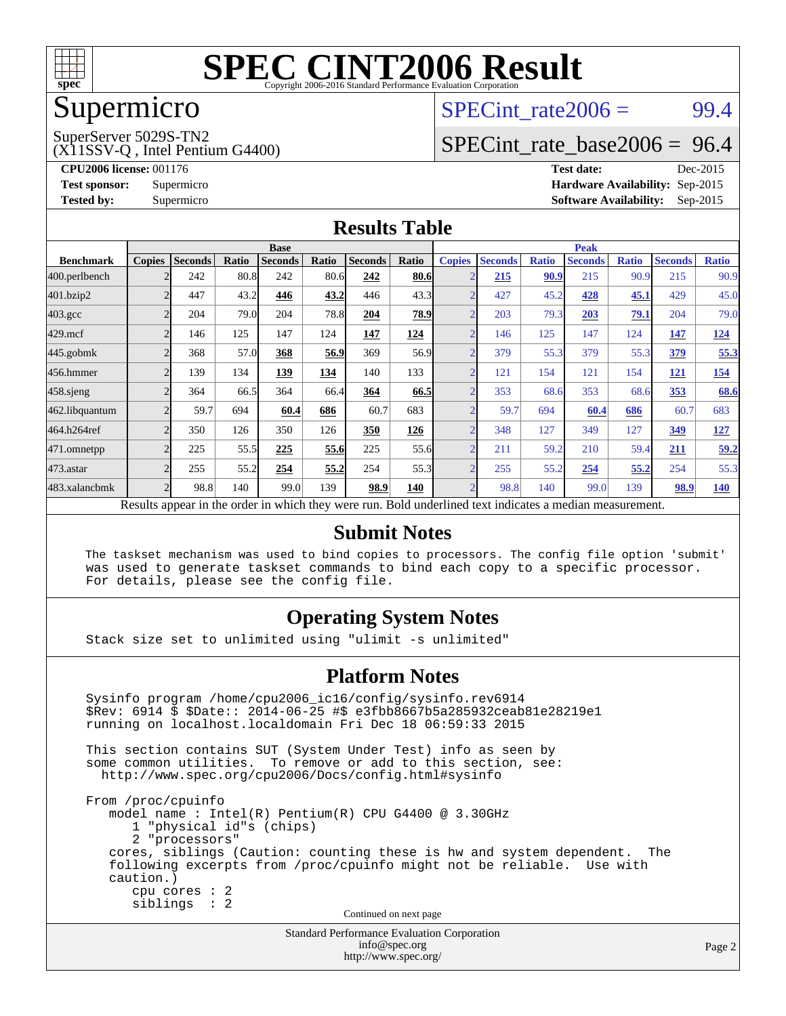

### Supermicro

#### $SPECTnt_rate2006 = 99.4$

(X11SSV-Q , Intel Pentium G4400) SuperServer 5029S-TN2

[SPECint\\_rate\\_base2006 =](http://www.spec.org/auto/cpu2006/Docs/result-fields.html#SPECintratebase2006) 96.4

**[CPU2006 license:](http://www.spec.org/auto/cpu2006/Docs/result-fields.html#CPU2006license)** 001176 **[Test date:](http://www.spec.org/auto/cpu2006/Docs/result-fields.html#Testdate)** Dec-2015 **[Test sponsor:](http://www.spec.org/auto/cpu2006/Docs/result-fields.html#Testsponsor)** Supermicro **[Hardware Availability:](http://www.spec.org/auto/cpu2006/Docs/result-fields.html#HardwareAvailability)** Sep-2015 **[Tested by:](http://www.spec.org/auto/cpu2006/Docs/result-fields.html#Testedby)** Supermicro **Supermicro [Software Availability:](http://www.spec.org/auto/cpu2006/Docs/result-fields.html#SoftwareAvailability)** Sep-2015

#### **[Results Table](http://www.spec.org/auto/cpu2006/Docs/result-fields.html#ResultsTable)**

|                    | <b>Base</b>                                                                                             |                |       |                |       | <b>Peak</b>    |       |                |                |              |                |              |                |              |
|--------------------|---------------------------------------------------------------------------------------------------------|----------------|-------|----------------|-------|----------------|-------|----------------|----------------|--------------|----------------|--------------|----------------|--------------|
| <b>Benchmark</b>   | <b>Copies</b>                                                                                           | <b>Seconds</b> | Ratio | <b>Seconds</b> | Ratio | <b>Seconds</b> | Ratio | <b>Copies</b>  | <b>Seconds</b> | <b>Ratio</b> | <b>Seconds</b> | <b>Ratio</b> | <b>Seconds</b> | <b>Ratio</b> |
| 400.perlbench      |                                                                                                         | 242            | 80.8  | 242            | 80.6  | 242            | 80.6  |                | 215            | 90.9         | 215            | 90.9         | 215            | 90.9         |
| 401.bzip2          |                                                                                                         | 447            | 43.2  | 446            | 43.2  | 446            | 43.3  |                | 427            | 45.2         | 428            | 45.1         | 429            | 45.0         |
| $403.\mathrm{gcc}$ | 2                                                                                                       | 204            | 79.0  | 204            | 78.8  | 204            | 78.9  | C              | 203            | 79.3         | 203            | 79.1         | 204            | 79.0         |
| $429$ .mcf         |                                                                                                         | 146            | 125   | 147            | 124   | 147            | 124   |                | 146            | 125          | 147            | 124          | 147            | <u>124</u>   |
| $445$ .gobmk       |                                                                                                         | 368            | 57.0  | 368            | 56.9  | 369            | 56.9  |                | 379            | 55.3         | 379            | 55.3         | <u>379</u>     | 55.3         |
| 456.hmmer          |                                                                                                         | 139            | 134   | 139            | 134   | 140            | 133   |                | 121            | 154          | 121            | 154          | <u>121</u>     | <u>154</u>   |
| $458$ .sjeng       |                                                                                                         | 364            | 66.5  | 364            | 66.4  | 364            | 66.5  |                | 353            | 68.6         | 353            | 68.6         | 353            | 68.6         |
| 462.libquantum     |                                                                                                         | 59.7           | 694   | 60.4           | 686   | 60.7           | 683   |                | 59.7           | 694          | 60.4           | 686          | 60.7           | 683          |
| 464.h264ref        |                                                                                                         | 350            | 126   | 350            | 126   | 350            | 126   |                | 348            | 127          | 349            | 127          | 349            | <u>127</u>   |
| 471.omnetpp        |                                                                                                         | 225            | 55.5  | 225            | 55.6  | 225            | 55.6  | $\mathcal{D}$  | 211            | 59.2         | 210            | 59.4         | <u>211</u>     | 59.2         |
| 473.astar          |                                                                                                         | 255            | 55.2  | 254            | 55.2  | 254            | 55.3  | $\overline{2}$ | 255            | 55.2         | 254            | 55.2         | 254            | 55.3         |
| 483.xalancbmk      |                                                                                                         | 98.8           | 140   | 99.0           | 139   | 98.9           | 140   |                | 98.8           | 140          | 99.0           | 139          | 98.9           | <b>140</b>   |
|                    | Recults appear in the order in which they were run. Rold underlined text indicates a median measurement |                |       |                |       |                |       |                |                |              |                |              |                |              |

Results appear in the [order in which they were run.](http://www.spec.org/auto/cpu2006/Docs/result-fields.html#RunOrder) Bold underlined text indicates a median measurem

#### **[Submit Notes](http://www.spec.org/auto/cpu2006/Docs/result-fields.html#SubmitNotes)**

 The taskset mechanism was used to bind copies to processors. The config file option 'submit' was used to generate taskset commands to bind each copy to a specific processor. For details, please see the config file.

#### **[Operating System Notes](http://www.spec.org/auto/cpu2006/Docs/result-fields.html#OperatingSystemNotes)**

Stack size set to unlimited using "ulimit -s unlimited"

#### **[Platform Notes](http://www.spec.org/auto/cpu2006/Docs/result-fields.html#PlatformNotes)**

Standard Performance Evaluation Corporation Sysinfo program /home/cpu2006\_ic16/config/sysinfo.rev6914 \$Rev: 6914 \$ \$Date:: 2014-06-25 #\$ e3fbb8667b5a285932ceab81e28219e1 running on localhost.localdomain Fri Dec 18 06:59:33 2015 This section contains SUT (System Under Test) info as seen by some common utilities. To remove or add to this section, see: <http://www.spec.org/cpu2006/Docs/config.html#sysinfo> From /proc/cpuinfo model name : Intel(R) Pentium(R) CPU G4400 @ 3.30GHz 1 "physical id"s (chips) 2 "processors" cores, siblings (Caution: counting these is hw and system dependent. The following excerpts from /proc/cpuinfo might not be reliable. Use with caution.) cpu cores : 2 siblings : 2 Continued on next page

[info@spec.org](mailto:info@spec.org) <http://www.spec.org/>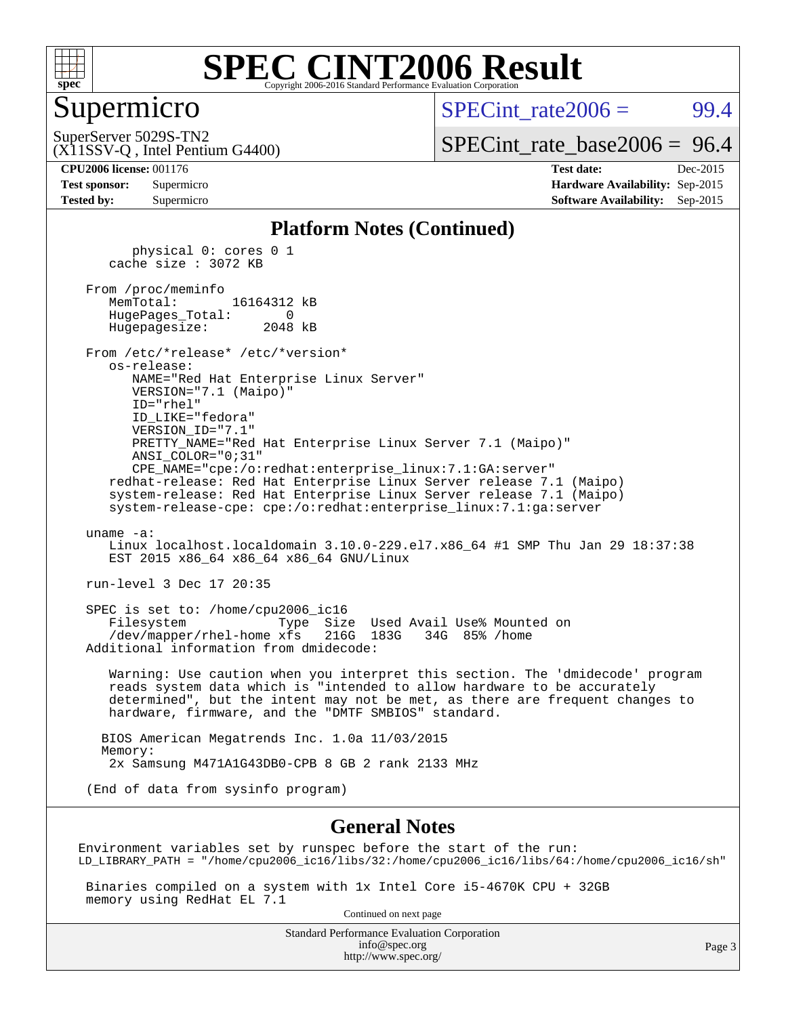

#### Supermicro

 $SPECint rate2006 = 99.4$ 

SuperServer 5029S-TN2

[SPECint\\_rate\\_base2006 =](http://www.spec.org/auto/cpu2006/Docs/result-fields.html#SPECintratebase2006) 96.4

### (X11SSV-Q , Intel Pentium G4400)

**[CPU2006 license:](http://www.spec.org/auto/cpu2006/Docs/result-fields.html#CPU2006license)** 001176 **[Test date:](http://www.spec.org/auto/cpu2006/Docs/result-fields.html#Testdate)** Dec-2015 **[Test sponsor:](http://www.spec.org/auto/cpu2006/Docs/result-fields.html#Testsponsor)** Supermicro **[Hardware Availability:](http://www.spec.org/auto/cpu2006/Docs/result-fields.html#HardwareAvailability)** Sep-2015 **[Tested by:](http://www.spec.org/auto/cpu2006/Docs/result-fields.html#Testedby)** Supermicro **Supermicro [Software Availability:](http://www.spec.org/auto/cpu2006/Docs/result-fields.html#SoftwareAvailability)** Sep-2015

#### **[Platform Notes \(Continued\)](http://www.spec.org/auto/cpu2006/Docs/result-fields.html#PlatformNotes)**

 physical 0: cores 0 1 cache size : 3072 KB From /proc/meminfo MemTotal: 16164312 kB HugePages\_Total: 0 Hugepagesize: 2048 kB From /etc/\*release\* /etc/\*version\* os-release: NAME="Red Hat Enterprise Linux Server" VERSION="7.1 (Maipo)" ID="rhel" ID\_LIKE="fedora" VERSION\_ID="7.1" PRETTY\_NAME="Red Hat Enterprise Linux Server 7.1 (Maipo)" ANSI\_COLOR="0;31" CPE\_NAME="cpe:/o:redhat:enterprise\_linux:7.1:GA:server" redhat-release: Red Hat Enterprise Linux Server release 7.1 (Maipo) system-release: Red Hat Enterprise Linux Server release 7.1 (Maipo) system-release-cpe: cpe:/o:redhat:enterprise\_linux:7.1:ga:server uname -a: Linux localhost.localdomain 3.10.0-229.el7.x86\_64 #1 SMP Thu Jan 29 18:37:38 EST 2015 x86 64 x86 64 x86 64 GNU/Linux run-level 3 Dec 17 20:35 SPEC is set to: /home/cpu2006\_ic16 Filesystem Type Size Used Avail Use% Mounted on /dev/mapper/rhel-home xfs 216G 183G 34G 85% /home Additional information from dmidecode: Warning: Use caution when you interpret this section. The 'dmidecode' program reads system data which is "intended to allow hardware to be accurately determined", but the intent may not be met, as there are frequent changes to hardware, firmware, and the "DMTF SMBIOS" standard. BIOS American Megatrends Inc. 1.0a 11/03/2015 Memory: 2x Samsung M471A1G43DB0-CPB 8 GB 2 rank 2133 MHz (End of data from sysinfo program)

#### **[General Notes](http://www.spec.org/auto/cpu2006/Docs/result-fields.html#GeneralNotes)**

Environment variables set by runspec before the start of the run: LD\_LIBRARY\_PATH = "/home/cpu2006\_ic16/libs/32:/home/cpu2006\_ic16/libs/64:/home/cpu2006\_ic16/sh"

 Binaries compiled on a system with 1x Intel Core i5-4670K CPU + 32GB memory using RedHat EL 7.1

Continued on next page

Standard Performance Evaluation Corporation [info@spec.org](mailto:info@spec.org) <http://www.spec.org/>

Page 3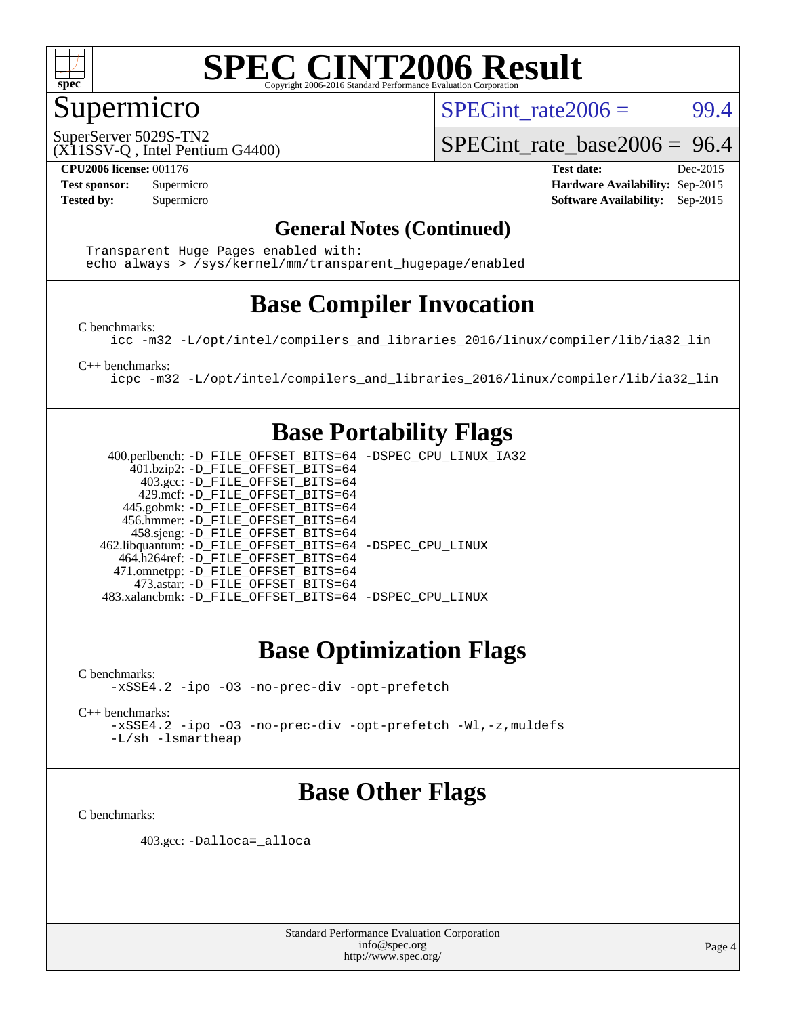

#### Supermicro

SPECint rate $2006 = 99.4$ 

SuperServer 5029S-TN2

[SPECint\\_rate\\_base2006 =](http://www.spec.org/auto/cpu2006/Docs/result-fields.html#SPECintratebase2006) 96.4

(X11SSV-Q , Intel Pentium G4400)

**[CPU2006 license:](http://www.spec.org/auto/cpu2006/Docs/result-fields.html#CPU2006license)** 001176 **[Test date:](http://www.spec.org/auto/cpu2006/Docs/result-fields.html#Testdate)** Dec-2015 **[Test sponsor:](http://www.spec.org/auto/cpu2006/Docs/result-fields.html#Testsponsor)** Supermicro **[Hardware Availability:](http://www.spec.org/auto/cpu2006/Docs/result-fields.html#HardwareAvailability)** Sep-2015 **[Tested by:](http://www.spec.org/auto/cpu2006/Docs/result-fields.html#Testedby)** Supermicro **Supermicro [Software Availability:](http://www.spec.org/auto/cpu2006/Docs/result-fields.html#SoftwareAvailability)** Sep-2015

#### **[General Notes \(Continued\)](http://www.spec.org/auto/cpu2006/Docs/result-fields.html#GeneralNotes)**

 Transparent Huge Pages enabled with: echo always > /sys/kernel/mm/transparent\_hugepage/enabled

### **[Base Compiler Invocation](http://www.spec.org/auto/cpu2006/Docs/result-fields.html#BaseCompilerInvocation)**

[C benchmarks](http://www.spec.org/auto/cpu2006/Docs/result-fields.html#Cbenchmarks):

[icc -m32 -L/opt/intel/compilers\\_and\\_libraries\\_2016/linux/compiler/lib/ia32\\_lin](http://www.spec.org/cpu2006/results/res2016q1/cpu2006-20160125-38788.flags.html#user_CCbase_intel_icc_e10256ba5924b668798078a321b0cb3f)

[C++ benchmarks:](http://www.spec.org/auto/cpu2006/Docs/result-fields.html#CXXbenchmarks)

[icpc -m32 -L/opt/intel/compilers\\_and\\_libraries\\_2016/linux/compiler/lib/ia32\\_lin](http://www.spec.org/cpu2006/results/res2016q1/cpu2006-20160125-38788.flags.html#user_CXXbase_intel_icpc_b4f50a394bdb4597aa5879c16bc3f5c5)

#### **[Base Portability Flags](http://www.spec.org/auto/cpu2006/Docs/result-fields.html#BasePortabilityFlags)**

 400.perlbench: [-D\\_FILE\\_OFFSET\\_BITS=64](http://www.spec.org/cpu2006/results/res2016q1/cpu2006-20160125-38788.flags.html#user_basePORTABILITY400_perlbench_file_offset_bits_64_438cf9856305ebd76870a2c6dc2689ab) [-DSPEC\\_CPU\\_LINUX\\_IA32](http://www.spec.org/cpu2006/results/res2016q1/cpu2006-20160125-38788.flags.html#b400.perlbench_baseCPORTABILITY_DSPEC_CPU_LINUX_IA32) 401.bzip2: [-D\\_FILE\\_OFFSET\\_BITS=64](http://www.spec.org/cpu2006/results/res2016q1/cpu2006-20160125-38788.flags.html#user_basePORTABILITY401_bzip2_file_offset_bits_64_438cf9856305ebd76870a2c6dc2689ab) 403.gcc: [-D\\_FILE\\_OFFSET\\_BITS=64](http://www.spec.org/cpu2006/results/res2016q1/cpu2006-20160125-38788.flags.html#user_basePORTABILITY403_gcc_file_offset_bits_64_438cf9856305ebd76870a2c6dc2689ab) 429.mcf: [-D\\_FILE\\_OFFSET\\_BITS=64](http://www.spec.org/cpu2006/results/res2016q1/cpu2006-20160125-38788.flags.html#user_basePORTABILITY429_mcf_file_offset_bits_64_438cf9856305ebd76870a2c6dc2689ab) 445.gobmk: [-D\\_FILE\\_OFFSET\\_BITS=64](http://www.spec.org/cpu2006/results/res2016q1/cpu2006-20160125-38788.flags.html#user_basePORTABILITY445_gobmk_file_offset_bits_64_438cf9856305ebd76870a2c6dc2689ab) 456.hmmer: [-D\\_FILE\\_OFFSET\\_BITS=64](http://www.spec.org/cpu2006/results/res2016q1/cpu2006-20160125-38788.flags.html#user_basePORTABILITY456_hmmer_file_offset_bits_64_438cf9856305ebd76870a2c6dc2689ab) 458.sjeng: [-D\\_FILE\\_OFFSET\\_BITS=64](http://www.spec.org/cpu2006/results/res2016q1/cpu2006-20160125-38788.flags.html#user_basePORTABILITY458_sjeng_file_offset_bits_64_438cf9856305ebd76870a2c6dc2689ab) 462.libquantum: [-D\\_FILE\\_OFFSET\\_BITS=64](http://www.spec.org/cpu2006/results/res2016q1/cpu2006-20160125-38788.flags.html#user_basePORTABILITY462_libquantum_file_offset_bits_64_438cf9856305ebd76870a2c6dc2689ab) [-DSPEC\\_CPU\\_LINUX](http://www.spec.org/cpu2006/results/res2016q1/cpu2006-20160125-38788.flags.html#b462.libquantum_baseCPORTABILITY_DSPEC_CPU_LINUX) 464.h264ref: [-D\\_FILE\\_OFFSET\\_BITS=64](http://www.spec.org/cpu2006/results/res2016q1/cpu2006-20160125-38788.flags.html#user_basePORTABILITY464_h264ref_file_offset_bits_64_438cf9856305ebd76870a2c6dc2689ab) 471.omnetpp: [-D\\_FILE\\_OFFSET\\_BITS=64](http://www.spec.org/cpu2006/results/res2016q1/cpu2006-20160125-38788.flags.html#user_basePORTABILITY471_omnetpp_file_offset_bits_64_438cf9856305ebd76870a2c6dc2689ab) 473.astar: [-D\\_FILE\\_OFFSET\\_BITS=64](http://www.spec.org/cpu2006/results/res2016q1/cpu2006-20160125-38788.flags.html#user_basePORTABILITY473_astar_file_offset_bits_64_438cf9856305ebd76870a2c6dc2689ab) 483.xalancbmk: [-D\\_FILE\\_OFFSET\\_BITS=64](http://www.spec.org/cpu2006/results/res2016q1/cpu2006-20160125-38788.flags.html#user_basePORTABILITY483_xalancbmk_file_offset_bits_64_438cf9856305ebd76870a2c6dc2689ab) [-DSPEC\\_CPU\\_LINUX](http://www.spec.org/cpu2006/results/res2016q1/cpu2006-20160125-38788.flags.html#b483.xalancbmk_baseCXXPORTABILITY_DSPEC_CPU_LINUX)

### **[Base Optimization Flags](http://www.spec.org/auto/cpu2006/Docs/result-fields.html#BaseOptimizationFlags)**

[C benchmarks](http://www.spec.org/auto/cpu2006/Docs/result-fields.html#Cbenchmarks): [-xSSE4.2](http://www.spec.org/cpu2006/results/res2016q1/cpu2006-20160125-38788.flags.html#user_CCbase_f-xSSE42_f91528193cf0b216347adb8b939d4107) [-ipo](http://www.spec.org/cpu2006/results/res2016q1/cpu2006-20160125-38788.flags.html#user_CCbase_f-ipo) [-O3](http://www.spec.org/cpu2006/results/res2016q1/cpu2006-20160125-38788.flags.html#user_CCbase_f-O3) [-no-prec-div](http://www.spec.org/cpu2006/results/res2016q1/cpu2006-20160125-38788.flags.html#user_CCbase_f-no-prec-div) [-opt-prefetch](http://www.spec.org/cpu2006/results/res2016q1/cpu2006-20160125-38788.flags.html#user_CCbase_f-opt-prefetch)

[C++ benchmarks:](http://www.spec.org/auto/cpu2006/Docs/result-fields.html#CXXbenchmarks) [-xSSE4.2](http://www.spec.org/cpu2006/results/res2016q1/cpu2006-20160125-38788.flags.html#user_CXXbase_f-xSSE42_f91528193cf0b216347adb8b939d4107) [-ipo](http://www.spec.org/cpu2006/results/res2016q1/cpu2006-20160125-38788.flags.html#user_CXXbase_f-ipo) [-O3](http://www.spec.org/cpu2006/results/res2016q1/cpu2006-20160125-38788.flags.html#user_CXXbase_f-O3) [-no-prec-div](http://www.spec.org/cpu2006/results/res2016q1/cpu2006-20160125-38788.flags.html#user_CXXbase_f-no-prec-div) [-opt-prefetch](http://www.spec.org/cpu2006/results/res2016q1/cpu2006-20160125-38788.flags.html#user_CXXbase_f-opt-prefetch) [-Wl,-z,muldefs](http://www.spec.org/cpu2006/results/res2016q1/cpu2006-20160125-38788.flags.html#user_CXXbase_link_force_multiple1_74079c344b956b9658436fd1b6dd3a8a) [-L/sh -lsmartheap](http://www.spec.org/cpu2006/results/res2016q1/cpu2006-20160125-38788.flags.html#user_CXXbase_SmartHeap_32f6c82aa1ed9c52345d30cf6e4a0499)

### **[Base Other Flags](http://www.spec.org/auto/cpu2006/Docs/result-fields.html#BaseOtherFlags)**

[C benchmarks](http://www.spec.org/auto/cpu2006/Docs/result-fields.html#Cbenchmarks):

403.gcc: [-Dalloca=\\_alloca](http://www.spec.org/cpu2006/results/res2016q1/cpu2006-20160125-38788.flags.html#b403.gcc_baseEXTRA_CFLAGS_Dalloca_be3056838c12de2578596ca5467af7f3)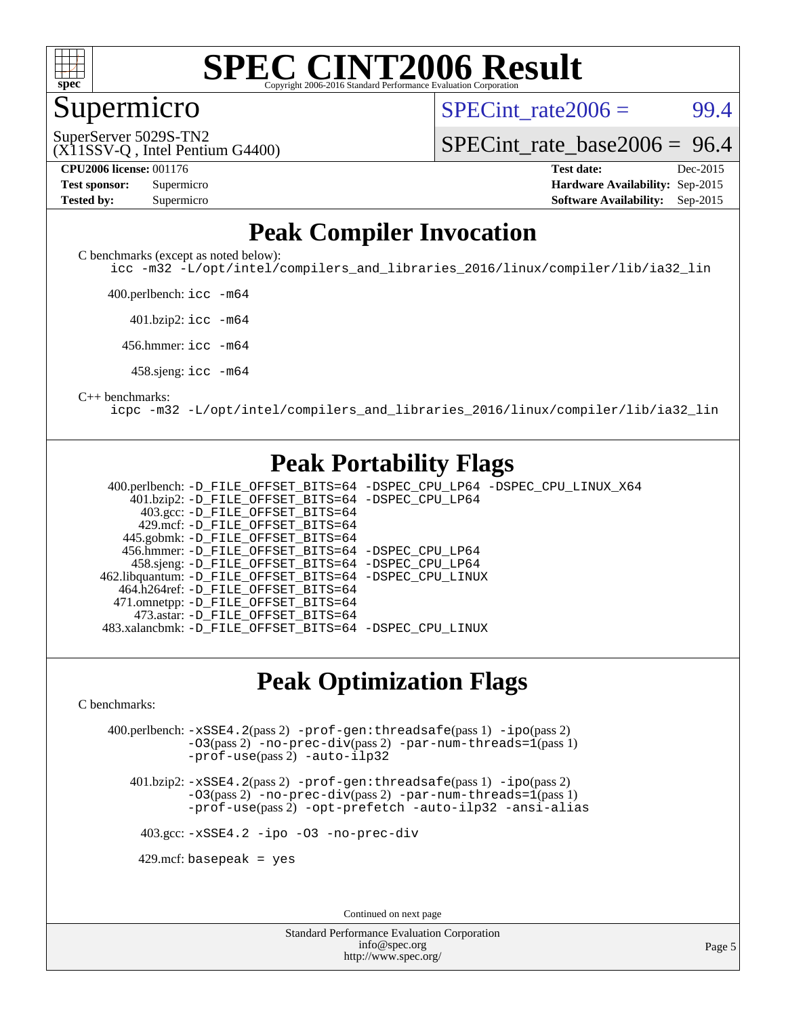

#### Supermicro

SPECint rate $2006 = 99.4$ 

(X11SSV-Q , Intel Pentium G4400) SuperServer 5029S-TN2

[SPECint\\_rate\\_base2006 =](http://www.spec.org/auto/cpu2006/Docs/result-fields.html#SPECintratebase2006) 96.4

| <b>Test sponsor:</b> | Supermicro |
|----------------------|------------|
| <b>Tested by:</b>    | Supermicro |

**[CPU2006 license:](http://www.spec.org/auto/cpu2006/Docs/result-fields.html#CPU2006license)** 001176 **[Test date:](http://www.spec.org/auto/cpu2006/Docs/result-fields.html#Testdate)** Dec-2015 **[Hardware Availability:](http://www.spec.org/auto/cpu2006/Docs/result-fields.html#HardwareAvailability)** Sep-2015 **[Software Availability:](http://www.spec.org/auto/cpu2006/Docs/result-fields.html#SoftwareAvailability)** Sep-2015

#### **[Peak Compiler Invocation](http://www.spec.org/auto/cpu2006/Docs/result-fields.html#PeakCompilerInvocation)**

[C benchmarks \(except as noted below\)](http://www.spec.org/auto/cpu2006/Docs/result-fields.html#Cbenchmarksexceptasnotedbelow):

[icc -m32 -L/opt/intel/compilers\\_and\\_libraries\\_2016/linux/compiler/lib/ia32\\_lin](http://www.spec.org/cpu2006/results/res2016q1/cpu2006-20160125-38788.flags.html#user_CCpeak_intel_icc_e10256ba5924b668798078a321b0cb3f)

400.perlbench: [icc -m64](http://www.spec.org/cpu2006/results/res2016q1/cpu2006-20160125-38788.flags.html#user_peakCCLD400_perlbench_intel_icc_64bit_bda6cc9af1fdbb0edc3795bac97ada53)

401.bzip2: [icc -m64](http://www.spec.org/cpu2006/results/res2016q1/cpu2006-20160125-38788.flags.html#user_peakCCLD401_bzip2_intel_icc_64bit_bda6cc9af1fdbb0edc3795bac97ada53)

456.hmmer: [icc -m64](http://www.spec.org/cpu2006/results/res2016q1/cpu2006-20160125-38788.flags.html#user_peakCCLD456_hmmer_intel_icc_64bit_bda6cc9af1fdbb0edc3795bac97ada53)

458.sjeng: [icc -m64](http://www.spec.org/cpu2006/results/res2016q1/cpu2006-20160125-38788.flags.html#user_peakCCLD458_sjeng_intel_icc_64bit_bda6cc9af1fdbb0edc3795bac97ada53)

#### [C++ benchmarks:](http://www.spec.org/auto/cpu2006/Docs/result-fields.html#CXXbenchmarks)

[icpc -m32 -L/opt/intel/compilers\\_and\\_libraries\\_2016/linux/compiler/lib/ia32\\_lin](http://www.spec.org/cpu2006/results/res2016q1/cpu2006-20160125-38788.flags.html#user_CXXpeak_intel_icpc_b4f50a394bdb4597aa5879c16bc3f5c5)

#### **[Peak Portability Flags](http://www.spec.org/auto/cpu2006/Docs/result-fields.html#PeakPortabilityFlags)**

 400.perlbench: [-D\\_FILE\\_OFFSET\\_BITS=64](http://www.spec.org/cpu2006/results/res2016q1/cpu2006-20160125-38788.flags.html#user_peakPORTABILITY400_perlbench_file_offset_bits_64_438cf9856305ebd76870a2c6dc2689ab) [-DSPEC\\_CPU\\_LP64](http://www.spec.org/cpu2006/results/res2016q1/cpu2006-20160125-38788.flags.html#b400.perlbench_peakCPORTABILITY_DSPEC_CPU_LP64) [-DSPEC\\_CPU\\_LINUX\\_X64](http://www.spec.org/cpu2006/results/res2016q1/cpu2006-20160125-38788.flags.html#b400.perlbench_peakCPORTABILITY_DSPEC_CPU_LINUX_X64) 401.bzip2: [-D\\_FILE\\_OFFSET\\_BITS=64](http://www.spec.org/cpu2006/results/res2016q1/cpu2006-20160125-38788.flags.html#user_peakPORTABILITY401_bzip2_file_offset_bits_64_438cf9856305ebd76870a2c6dc2689ab) [-DSPEC\\_CPU\\_LP64](http://www.spec.org/cpu2006/results/res2016q1/cpu2006-20160125-38788.flags.html#suite_peakCPORTABILITY401_bzip2_DSPEC_CPU_LP64) 403.gcc: [-D\\_FILE\\_OFFSET\\_BITS=64](http://www.spec.org/cpu2006/results/res2016q1/cpu2006-20160125-38788.flags.html#user_peakPORTABILITY403_gcc_file_offset_bits_64_438cf9856305ebd76870a2c6dc2689ab) 429.mcf: [-D\\_FILE\\_OFFSET\\_BITS=64](http://www.spec.org/cpu2006/results/res2016q1/cpu2006-20160125-38788.flags.html#user_peakPORTABILITY429_mcf_file_offset_bits_64_438cf9856305ebd76870a2c6dc2689ab) 445.gobmk: [-D\\_FILE\\_OFFSET\\_BITS=64](http://www.spec.org/cpu2006/results/res2016q1/cpu2006-20160125-38788.flags.html#user_peakPORTABILITY445_gobmk_file_offset_bits_64_438cf9856305ebd76870a2c6dc2689ab) 456.hmmer: [-D\\_FILE\\_OFFSET\\_BITS=64](http://www.spec.org/cpu2006/results/res2016q1/cpu2006-20160125-38788.flags.html#user_peakPORTABILITY456_hmmer_file_offset_bits_64_438cf9856305ebd76870a2c6dc2689ab) [-DSPEC\\_CPU\\_LP64](http://www.spec.org/cpu2006/results/res2016q1/cpu2006-20160125-38788.flags.html#suite_peakCPORTABILITY456_hmmer_DSPEC_CPU_LP64) 458.sjeng: [-D\\_FILE\\_OFFSET\\_BITS=64](http://www.spec.org/cpu2006/results/res2016q1/cpu2006-20160125-38788.flags.html#user_peakPORTABILITY458_sjeng_file_offset_bits_64_438cf9856305ebd76870a2c6dc2689ab) [-DSPEC\\_CPU\\_LP64](http://www.spec.org/cpu2006/results/res2016q1/cpu2006-20160125-38788.flags.html#suite_peakCPORTABILITY458_sjeng_DSPEC_CPU_LP64) 462.libquantum: [-D\\_FILE\\_OFFSET\\_BITS=64](http://www.spec.org/cpu2006/results/res2016q1/cpu2006-20160125-38788.flags.html#user_peakPORTABILITY462_libquantum_file_offset_bits_64_438cf9856305ebd76870a2c6dc2689ab) [-DSPEC\\_CPU\\_LINUX](http://www.spec.org/cpu2006/results/res2016q1/cpu2006-20160125-38788.flags.html#b462.libquantum_peakCPORTABILITY_DSPEC_CPU_LINUX) 464.h264ref: [-D\\_FILE\\_OFFSET\\_BITS=64](http://www.spec.org/cpu2006/results/res2016q1/cpu2006-20160125-38788.flags.html#user_peakPORTABILITY464_h264ref_file_offset_bits_64_438cf9856305ebd76870a2c6dc2689ab) 471.omnetpp: [-D\\_FILE\\_OFFSET\\_BITS=64](http://www.spec.org/cpu2006/results/res2016q1/cpu2006-20160125-38788.flags.html#user_peakPORTABILITY471_omnetpp_file_offset_bits_64_438cf9856305ebd76870a2c6dc2689ab) 473.astar: [-D\\_FILE\\_OFFSET\\_BITS=64](http://www.spec.org/cpu2006/results/res2016q1/cpu2006-20160125-38788.flags.html#user_peakPORTABILITY473_astar_file_offset_bits_64_438cf9856305ebd76870a2c6dc2689ab) 483.xalancbmk: [-D\\_FILE\\_OFFSET\\_BITS=64](http://www.spec.org/cpu2006/results/res2016q1/cpu2006-20160125-38788.flags.html#user_peakPORTABILITY483_xalancbmk_file_offset_bits_64_438cf9856305ebd76870a2c6dc2689ab) [-DSPEC\\_CPU\\_LINUX](http://www.spec.org/cpu2006/results/res2016q1/cpu2006-20160125-38788.flags.html#b483.xalancbmk_peakCXXPORTABILITY_DSPEC_CPU_LINUX)

#### **[Peak Optimization Flags](http://www.spec.org/auto/cpu2006/Docs/result-fields.html#PeakOptimizationFlags)**

[C benchmarks](http://www.spec.org/auto/cpu2006/Docs/result-fields.html#Cbenchmarks):

 400.perlbench: [-xSSE4.2](http://www.spec.org/cpu2006/results/res2016q1/cpu2006-20160125-38788.flags.html#user_peakPASS2_CFLAGSPASS2_LDCFLAGS400_perlbench_f-xSSE42_f91528193cf0b216347adb8b939d4107)(pass 2) [-prof-gen:threadsafe](http://www.spec.org/cpu2006/results/res2016q1/cpu2006-20160125-38788.flags.html#user_peakPASS1_CFLAGSPASS1_LDCFLAGS400_perlbench_prof_gen_21a26eb79f378b550acd7bec9fe4467a)(pass 1) [-ipo](http://www.spec.org/cpu2006/results/res2016q1/cpu2006-20160125-38788.flags.html#user_peakPASS2_CFLAGSPASS2_LDCFLAGS400_perlbench_f-ipo)(pass 2) [-O3](http://www.spec.org/cpu2006/results/res2016q1/cpu2006-20160125-38788.flags.html#user_peakPASS2_CFLAGSPASS2_LDCFLAGS400_perlbench_f-O3)(pass 2) [-no-prec-div](http://www.spec.org/cpu2006/results/res2016q1/cpu2006-20160125-38788.flags.html#user_peakPASS2_CFLAGSPASS2_LDCFLAGS400_perlbench_f-no-prec-div)(pass 2) [-par-num-threads=1](http://www.spec.org/cpu2006/results/res2016q1/cpu2006-20160125-38788.flags.html#user_peakPASS1_CFLAGSPASS1_LDCFLAGS400_perlbench_par_num_threads_786a6ff141b4e9e90432e998842df6c2)(pass 1) [-prof-use](http://www.spec.org/cpu2006/results/res2016q1/cpu2006-20160125-38788.flags.html#user_peakPASS2_CFLAGSPASS2_LDCFLAGS400_perlbench_prof_use_bccf7792157ff70d64e32fe3e1250b55)(pass 2) [-auto-ilp32](http://www.spec.org/cpu2006/results/res2016q1/cpu2006-20160125-38788.flags.html#user_peakCOPTIMIZE400_perlbench_f-auto-ilp32)

 401.bzip2: [-xSSE4.2](http://www.spec.org/cpu2006/results/res2016q1/cpu2006-20160125-38788.flags.html#user_peakPASS2_CFLAGSPASS2_LDCFLAGS401_bzip2_f-xSSE42_f91528193cf0b216347adb8b939d4107)(pass 2) [-prof-gen:threadsafe](http://www.spec.org/cpu2006/results/res2016q1/cpu2006-20160125-38788.flags.html#user_peakPASS1_CFLAGSPASS1_LDCFLAGS401_bzip2_prof_gen_21a26eb79f378b550acd7bec9fe4467a)(pass 1) [-ipo](http://www.spec.org/cpu2006/results/res2016q1/cpu2006-20160125-38788.flags.html#user_peakPASS2_CFLAGSPASS2_LDCFLAGS401_bzip2_f-ipo)(pass 2) [-O3](http://www.spec.org/cpu2006/results/res2016q1/cpu2006-20160125-38788.flags.html#user_peakPASS2_CFLAGSPASS2_LDCFLAGS401_bzip2_f-O3)(pass 2) [-no-prec-div](http://www.spec.org/cpu2006/results/res2016q1/cpu2006-20160125-38788.flags.html#user_peakPASS2_CFLAGSPASS2_LDCFLAGS401_bzip2_f-no-prec-div)(pass 2) [-par-num-threads=1](http://www.spec.org/cpu2006/results/res2016q1/cpu2006-20160125-38788.flags.html#user_peakPASS1_CFLAGSPASS1_LDCFLAGS401_bzip2_par_num_threads_786a6ff141b4e9e90432e998842df6c2)(pass 1) [-prof-use](http://www.spec.org/cpu2006/results/res2016q1/cpu2006-20160125-38788.flags.html#user_peakPASS2_CFLAGSPASS2_LDCFLAGS401_bzip2_prof_use_bccf7792157ff70d64e32fe3e1250b55)(pass 2) [-opt-prefetch](http://www.spec.org/cpu2006/results/res2016q1/cpu2006-20160125-38788.flags.html#user_peakCOPTIMIZE401_bzip2_f-opt-prefetch) [-auto-ilp32](http://www.spec.org/cpu2006/results/res2016q1/cpu2006-20160125-38788.flags.html#user_peakCOPTIMIZE401_bzip2_f-auto-ilp32) [-ansi-alias](http://www.spec.org/cpu2006/results/res2016q1/cpu2006-20160125-38788.flags.html#user_peakCOPTIMIZE401_bzip2_f-ansi-alias)

403.gcc: [-xSSE4.2](http://www.spec.org/cpu2006/results/res2016q1/cpu2006-20160125-38788.flags.html#user_peakCOPTIMIZE403_gcc_f-xSSE42_f91528193cf0b216347adb8b939d4107) [-ipo](http://www.spec.org/cpu2006/results/res2016q1/cpu2006-20160125-38788.flags.html#user_peakCOPTIMIZE403_gcc_f-ipo) [-O3](http://www.spec.org/cpu2006/results/res2016q1/cpu2006-20160125-38788.flags.html#user_peakCOPTIMIZE403_gcc_f-O3) [-no-prec-div](http://www.spec.org/cpu2006/results/res2016q1/cpu2006-20160125-38788.flags.html#user_peakCOPTIMIZE403_gcc_f-no-prec-div)

 $429$ .mcf: basepeak = yes

Continued on next page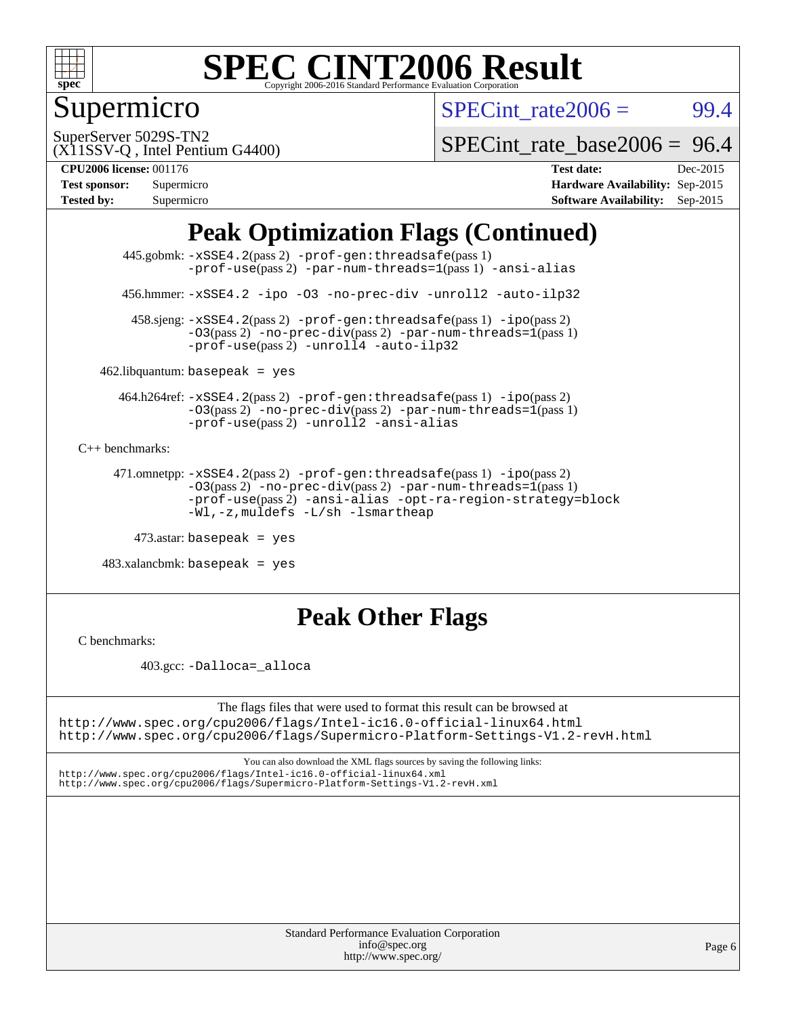

### Supermicro

SPECint rate $2006 = 99.4$ 

SuperServer 5029S-TN2

[SPECint\\_rate\\_base2006 =](http://www.spec.org/auto/cpu2006/Docs/result-fields.html#SPECintratebase2006) 96.4

(X11SSV-Q , Intel Pentium G4400) **[CPU2006 license:](http://www.spec.org/auto/cpu2006/Docs/result-fields.html#CPU2006license)** 001176 **[Test date:](http://www.spec.org/auto/cpu2006/Docs/result-fields.html#Testdate)** Dec-2015

| <b>Test sponsor:</b> | Supermicro |
|----------------------|------------|
| <b>Tested by:</b>    | Supermicro |

**[Hardware Availability:](http://www.spec.org/auto/cpu2006/Docs/result-fields.html#HardwareAvailability)** Sep-2015 **[Software Availability:](http://www.spec.org/auto/cpu2006/Docs/result-fields.html#SoftwareAvailability)** Sep-2015

### **[Peak Optimization Flags \(Continued\)](http://www.spec.org/auto/cpu2006/Docs/result-fields.html#PeakOptimizationFlags)**

 445.gobmk: [-xSSE4.2](http://www.spec.org/cpu2006/results/res2016q1/cpu2006-20160125-38788.flags.html#user_peakPASS2_CFLAGSPASS2_LDCFLAGS445_gobmk_f-xSSE42_f91528193cf0b216347adb8b939d4107)(pass 2) [-prof-gen:threadsafe](http://www.spec.org/cpu2006/results/res2016q1/cpu2006-20160125-38788.flags.html#user_peakPASS1_CFLAGSPASS1_LDCFLAGS445_gobmk_prof_gen_21a26eb79f378b550acd7bec9fe4467a)(pass 1) [-prof-use](http://www.spec.org/cpu2006/results/res2016q1/cpu2006-20160125-38788.flags.html#user_peakPASS2_CFLAGSPASS2_LDCFLAGS445_gobmk_prof_use_bccf7792157ff70d64e32fe3e1250b55)(pass2) [-par-num-threads=1](http://www.spec.org/cpu2006/results/res2016q1/cpu2006-20160125-38788.flags.html#user_peakPASS1_CFLAGSPASS1_LDCFLAGS445_gobmk_par_num_threads_786a6ff141b4e9e90432e998842df6c2)(pass1) [-ansi-alias](http://www.spec.org/cpu2006/results/res2016q1/cpu2006-20160125-38788.flags.html#user_peakCOPTIMIZE445_gobmk_f-ansi-alias)

456.hmmer: [-xSSE4.2](http://www.spec.org/cpu2006/results/res2016q1/cpu2006-20160125-38788.flags.html#user_peakCOPTIMIZE456_hmmer_f-xSSE42_f91528193cf0b216347adb8b939d4107) [-ipo](http://www.spec.org/cpu2006/results/res2016q1/cpu2006-20160125-38788.flags.html#user_peakCOPTIMIZE456_hmmer_f-ipo) [-O3](http://www.spec.org/cpu2006/results/res2016q1/cpu2006-20160125-38788.flags.html#user_peakCOPTIMIZE456_hmmer_f-O3) [-no-prec-div](http://www.spec.org/cpu2006/results/res2016q1/cpu2006-20160125-38788.flags.html#user_peakCOPTIMIZE456_hmmer_f-no-prec-div) [-unroll2](http://www.spec.org/cpu2006/results/res2016q1/cpu2006-20160125-38788.flags.html#user_peakCOPTIMIZE456_hmmer_f-unroll_784dae83bebfb236979b41d2422d7ec2) [-auto-ilp32](http://www.spec.org/cpu2006/results/res2016q1/cpu2006-20160125-38788.flags.html#user_peakCOPTIMIZE456_hmmer_f-auto-ilp32)

 458.sjeng: [-xSSE4.2](http://www.spec.org/cpu2006/results/res2016q1/cpu2006-20160125-38788.flags.html#user_peakPASS2_CFLAGSPASS2_LDCFLAGS458_sjeng_f-xSSE42_f91528193cf0b216347adb8b939d4107)(pass 2) [-prof-gen:threadsafe](http://www.spec.org/cpu2006/results/res2016q1/cpu2006-20160125-38788.flags.html#user_peakPASS1_CFLAGSPASS1_LDCFLAGS458_sjeng_prof_gen_21a26eb79f378b550acd7bec9fe4467a)(pass 1) [-ipo](http://www.spec.org/cpu2006/results/res2016q1/cpu2006-20160125-38788.flags.html#user_peakPASS2_CFLAGSPASS2_LDCFLAGS458_sjeng_f-ipo)(pass 2) [-O3](http://www.spec.org/cpu2006/results/res2016q1/cpu2006-20160125-38788.flags.html#user_peakPASS2_CFLAGSPASS2_LDCFLAGS458_sjeng_f-O3)(pass 2) [-no-prec-div](http://www.spec.org/cpu2006/results/res2016q1/cpu2006-20160125-38788.flags.html#user_peakPASS2_CFLAGSPASS2_LDCFLAGS458_sjeng_f-no-prec-div)(pass 2) [-par-num-threads=1](http://www.spec.org/cpu2006/results/res2016q1/cpu2006-20160125-38788.flags.html#user_peakPASS1_CFLAGSPASS1_LDCFLAGS458_sjeng_par_num_threads_786a6ff141b4e9e90432e998842df6c2)(pass 1)  $-prof$ -use(pass 2) [-unroll4](http://www.spec.org/cpu2006/results/res2016q1/cpu2006-20160125-38788.flags.html#user_peakCOPTIMIZE458_sjeng_f-unroll_4e5e4ed65b7fd20bdcd365bec371b81f) [-auto-ilp32](http://www.spec.org/cpu2006/results/res2016q1/cpu2006-20160125-38788.flags.html#user_peakCOPTIMIZE458_sjeng_f-auto-ilp32)

 $462$ .libquantum: basepeak = yes

 464.h264ref: [-xSSE4.2](http://www.spec.org/cpu2006/results/res2016q1/cpu2006-20160125-38788.flags.html#user_peakPASS2_CFLAGSPASS2_LDCFLAGS464_h264ref_f-xSSE42_f91528193cf0b216347adb8b939d4107)(pass 2) [-prof-gen:threadsafe](http://www.spec.org/cpu2006/results/res2016q1/cpu2006-20160125-38788.flags.html#user_peakPASS1_CFLAGSPASS1_LDCFLAGS464_h264ref_prof_gen_21a26eb79f378b550acd7bec9fe4467a)(pass 1) [-ipo](http://www.spec.org/cpu2006/results/res2016q1/cpu2006-20160125-38788.flags.html#user_peakPASS2_CFLAGSPASS2_LDCFLAGS464_h264ref_f-ipo)(pass 2)  $-03(pass 2)$  [-no-prec-div](http://www.spec.org/cpu2006/results/res2016q1/cpu2006-20160125-38788.flags.html#user_peakPASS2_CFLAGSPASS2_LDCFLAGS464_h264ref_f-no-prec-div)(pass 2) [-par-num-threads=1](http://www.spec.org/cpu2006/results/res2016q1/cpu2006-20160125-38788.flags.html#user_peakPASS1_CFLAGSPASS1_LDCFLAGS464_h264ref_par_num_threads_786a6ff141b4e9e90432e998842df6c2)(pass 1) [-prof-use](http://www.spec.org/cpu2006/results/res2016q1/cpu2006-20160125-38788.flags.html#user_peakPASS2_CFLAGSPASS2_LDCFLAGS464_h264ref_prof_use_bccf7792157ff70d64e32fe3e1250b55)(pass 2) [-unroll2](http://www.spec.org/cpu2006/results/res2016q1/cpu2006-20160125-38788.flags.html#user_peakCOPTIMIZE464_h264ref_f-unroll_784dae83bebfb236979b41d2422d7ec2) [-ansi-alias](http://www.spec.org/cpu2006/results/res2016q1/cpu2006-20160125-38788.flags.html#user_peakCOPTIMIZE464_h264ref_f-ansi-alias)

[C++ benchmarks:](http://www.spec.org/auto/cpu2006/Docs/result-fields.html#CXXbenchmarks)

```
 471.omnetpp: -xSSE4.2(pass 2) -prof-gen:threadsafe(pass 1) -ipo(pass 2)
-O3(pass 2) -no-prec-div(pass 2) -par-num-threads=1(pass 1)
-prof-use(pass 2) -ansi-alias -opt-ra-region-strategy=block
-Wl,-z,muldefs -L/sh -lsmartheap
```
473.astar: basepeak = yes

 $483.xalanchmk: basepeak = yes$ 

### **[Peak Other Flags](http://www.spec.org/auto/cpu2006/Docs/result-fields.html#PeakOtherFlags)**

[C benchmarks](http://www.spec.org/auto/cpu2006/Docs/result-fields.html#Cbenchmarks):

403.gcc: [-Dalloca=\\_alloca](http://www.spec.org/cpu2006/results/res2016q1/cpu2006-20160125-38788.flags.html#b403.gcc_peakEXTRA_CFLAGS_Dalloca_be3056838c12de2578596ca5467af7f3)

The flags files that were used to format this result can be browsed at <http://www.spec.org/cpu2006/flags/Intel-ic16.0-official-linux64.html> <http://www.spec.org/cpu2006/flags/Supermicro-Platform-Settings-V1.2-revH.html>

You can also download the XML flags sources by saving the following links: <http://www.spec.org/cpu2006/flags/Intel-ic16.0-official-linux64.xml>

<http://www.spec.org/cpu2006/flags/Supermicro-Platform-Settings-V1.2-revH.xml>